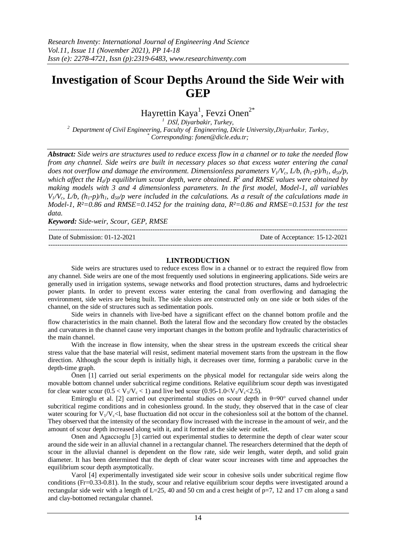# **Investigation of Scour Depths Around the Side Weir with GEP**

Hayrettin Kaya<sup>1</sup>, Fevzi Onen<sup>2\*</sup>

*<sup>1</sup>DSİ, Diyarbakir, Turkey, <sup>2</sup>Department of Civil Engineering, Faculty of Engineering, Dicle University,Diyarbakır, Turkey, \* Corresponding[: fonen@dicle.edu.tr;](mailto:fonen@dicle.edu.tr)*

*Abstract: Side weirs are structures used to reduce excess flow in a channel or to take the needed flow from any channel. Side weirs are built in necessary places so that excess water entering the canal does not overflow and damage the environment. Dimensionless parameters*  $V_1/V_c$ *,*  $L/b$ *,*  $(h_1-p)/h_1$ *,*  $d_{50}/p$ *, which affect the Hd/p equilibrium scour depth, were obtained. R<sup>2</sup> and RMSE values were obtained by making models with 3 and 4 dimensionless parameters. In the first model, Model-1, all variables*   $V/V_c$ ,  $L/b$ ,  $(h_1-p)/h_1$ ,  $d_5/ p$  were included in the calculations. As a result of the calculations made in *Model-1, R²=0.86 and RMSE=0.1452 for the training data, R²=0.86 and RMSE=0.1531 for the test data.*

*Keyword: Side-weir, Scour, GEP, RMSE*

--------------------------------------------------------------------------------------------------------------------------------------- Date of Submission: 01-12-2021 Date of Acceptance: 15-12-2021 ---------------------------------------------------------------------------------------------------------------------------------------

## **I.INTRODUCTION**

Side weirs are structures used to reduce excess flow in a channel or to extract the required flow from any channel. Side weirs are one of the most frequently used solutions in engineering applications. Side weirs are generally used in irrigation systems, sewage networks and flood protection structures, dams and hydroelectric power plants. In order to prevent excess water entering the canal from overflowing and damaging the environment, side weirs are being built. The side sluices are constructed only on one side or both sides of the channel, on the side of structures such as sedimentation pools.

Side weirs in channels with live-bed have a significant effect on the channel bottom profile and the flow characteristics in the main channel. Both the lateral flow and the secondary flow created by the obstacles and curvatures in the channel cause very important changes in the bottom profile and hydraulic characteristics of the main channel.

With the increase in flow intensity, when the shear stress in the upstream exceeds the critical shear stress value that the base material will resist, sediment material movement starts from the upstream in the flow direction. Although the scour depth is initially high, it decreases over time, forming a parabolic curve in the depth-time graph.

Önen [1] carried out serial experiments on the physical model for rectangular side weirs along the movable bottom channel under subcritical regime conditions. Relative equilibrium scour depth was investigated for clear water scour  $(0.5 < V_1/V_c < 1)$  and live bed scour  $(0.95-1.0 < V_1/V_c < 2.5)$ .

Emiroglu et al. [2] carried out experimental studies on scour depth in  $\theta=90^\circ$  curved channel under subcritical regime conditions and in cohesionless ground. In the study, they observed that in the case of clear water scouring for  $V_1/V_c$ <l, base fluctuation did not occur in the cohesionless soil at the bottom of the channel. They observed that the intensity of the secondary flow increased with the increase in the amount of weir, and the amount of scour depth increased along with it, and it formed at the side weir outlet.

Onen and Agaccıoglu [3] carried out experimental studies to determine the depth of clear water scour around the side weir in an alluvial channel in a rectangular channel. The researchers determined that the depth of scour in the alluvial channel is dependent on the flow rate, side weir length, water depth, and solid grain diameter. It has been determined that the depth of clear water scour increases with time and approaches the equilibrium scour depth asymptotically.

Varol [4] experimentally investigated side weir scour in cohesive soils under subcritical regime flow conditions (Fr=0.33-0.81). In the study, scour and relative equilibrium scour depths were investigated around a rectangular side weir with a length of L=25, 40 and 50 cm and a crest height of p=7, 12 and 17 cm along a sand and clay-bottomed rectangular channel.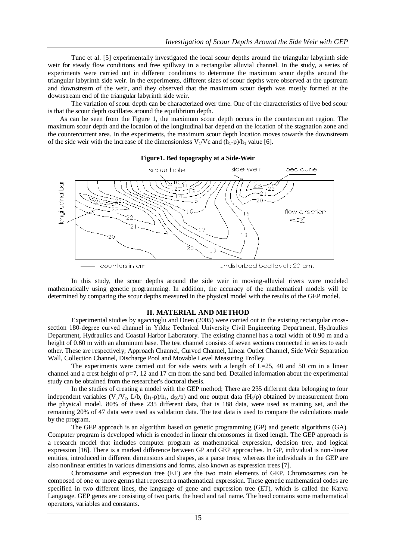Tunc et al. [5] experimentally investigated the local scour depths around the triangular labyrinth side weir for steady flow conditions and free spillway in a rectangular alluvial channel. In the study, a series of experiments were carried out in different conditions to determine the maximum scour depths around the triangular labyrinth side weir. In the experiments, different sizes of scour depths were observed at the upstream and downstream of the weir, and they observed that the maximum scour depth was mostly formed at the downstream end of the triangular labyrinth side weir.

The variation of scour depth can be characterized over time. One of the characteristics of live bed scour is that the scour depth oscillates around the equilibrium depth.

As can be seen from the Figure 1, the maximum scour depth occurs in the countercurrent region. The maximum scour depth and the location of the longitudinal bar depend on the location of the stagnation zone and the countercurrent area. In the experiments, the maximum scour depth location moves towards the downstream of the side weir with the increase of the dimensionless  $V_1/Vc$  and  $(h_1-p)/h_1$  value [6].



In this study, the scour depths around the side weir in moving-alluvial rivers were modeled mathematically using genetic programming. In addition, the accuracy of the mathematical models will be determined by comparing the scour depths measured in the physical model with the results of the GEP model.

### **II. MATERIAL AND METHOD**

Experimental studies by agaccioglu and Onen (2005) were carried out in the existing rectangular crosssection 180-degree curved channel in Yıldız Technical University Civil Engineering Department, Hydraulics Department, Hydraulics and Coastal Harbor Laboratory. The existing channel has a total width of 0.90 m and a height of 0.60 m with an aluminum base. The test channel consists of seven sections connected in series to each other. These are respectively; Approach Channel, Curved Channel, Linear Outlet Channel, Side Weir Separation Wall, Collection Channel, Discharge Pool and Movable Level Measuring Trolley.

The experiments were carried out for side weirs with a length of  $L=25$ , 40 and 50 cm in a linear channel and a crest height of p=7, 12 and 17 cm from the sand bed. Detailed information about the experimental study can be obtained from the researcher's doctoral thesis.

In the studies of creating a model with the GEP method; There are 235 different data belonging to four independent variables (V<sub>1</sub>/V<sub>c</sub>, L/b, (h<sub>1</sub>-p)/h<sub>1</sub>, d<sub>50</sub>/p) and one output data (H<sub>d</sub>/p) obtained by measurement from the physical model. 80% of these 235 different data, that is 188 data, were used as training set, and the remaining 20% of 47 data were used as validation data. The test data is used to compare the calculations made by the program.

The GEP approach is an algorithm based on genetic programming (GP) and genetic algorithms (GA). Computer program is developed which is encoded in linear chromosomes in fixed length. The GEP approach is a research model that includes computer program as mathematical expression, decision tree, and logical expression [16]. There is a marked difference between GP and GEP approaches. In GP, individual is non-linear entities, introduced in different dimensions and shapes, as a parse trees; whereas the individuals in the GEP are also nonlinear entities in various dimensions and forms, also known as expression trees [7].

Chromosome and expression tree (ET) are the two main elements of GEP. Chromosomes can be composed of one or more germs that represent a mathematical expression. These genetic mathematical codes are specified in two different lines, the language of gene and expression tree (ET), which is called the Karva Language. GEP genes are consisting of two parts, the head and tail name. The head contains some mathematical operators, variables and constants.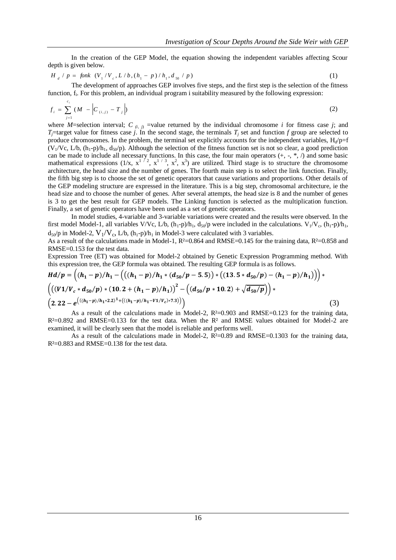In the creation of the GEP Model, the equation showing the independent variables affecting Scour depth is given below.

$$
H_d / p = f \t{on} k \t(V_1 / V_c, L / b, (h_1 - p) / h_1, d_{50} / p)
$$
\t(1)

The development of approaches GEP involves five steps, and the first step is the selection of the fitness function, f<sub>i</sub>. For this problem, an individual program i suitability measured by the following expression:

$$
f_i = \sum_{j=1}^{c_i} (M - \left| C_{(i,j)} - T_j \right|)
$$
 (2)

where *M*=selection interval; *C*  $_{(i, j)}$  =value returned by the individual chromosome *i* for fitness case *j*; and *T*<sub>j</sub>=target value for fitness case *j*. In the second stage, the terminals *T<sub>i</sub>* set and function *f* group are selected to produce chromosomes. In the problem, the terminal set explicitly accounts for the independent variables,  $H_d/p=f$  $(V_1/Vc, L/b, (h_1-p)/h_1, d_{50}/p)$ . Although the selection of the fitness function set is not so clear, a good prediction can be made to include all necessary functions. In this case, the four main operators  $(+, -, *, \%)$  and some basic mathematical expressions  $(1/x, x^{1/2}, x^{1/3}, x^2, x^3)$  are utilized. Third stage is to structure the chromosome architecture, the head size and the number of genes. The fourth main step is to select the link function. Finally, the fifth big step is to choose the set of genetic operators that cause variations and proportions. Other details of the GEP modeling structure are expressed in the literature. This is a big step, chromosomal architecture, ie the head size and to choose the number of genes. After several attempts, the head size is 8 and the number of genes is 3 to get the best result for GEP models. The Linking function is selected as the multiplication function. Finally, a set of genetic operators have been used as a set of genetic operators.

In model studies, 4-variable and 3-variable variations were created and the results were observed. In the first model Model-1, all variables V/Vc, L/b,  $(h_1-p)/h_1$ ,  $d_{50}/p$  were included in the calculations.  $V_1/V_c$ ,  $(h_1-p)/h_1$ ,  $d_{50}/p$  in Model-2,  $V_1/V_c$ ,  $L/b$ ,  $(h_1-p)/h_1$  in Model-3 were calculated with 3 variables.

As a result of the calculations made in Model-1, R²=0.864 and RMSE=0.145 for the training data, R²=0.858 and RMSE=0.153 for the test data.

Expression Tree (ET) was obtained for Model-2 obtained by Genetic Expression Programming method. With this expression tree, the GEP formula was obtained. The resulting GEP formula is as follows.

$$
Hd/p = ((h_1 - p)/h_1 - ((h_1 - p)/h_1 * (d_{50}/p - 5.5)) * ((13.5 * d_{50}/p) - (h_1 - p)/h_1)))
$$
  

$$
(((V1/V_c * d_{50}/p) * (10.2 + (h_1 - p)/h_1))^{2} - ((d_{50}/p * 10.2) + \sqrt{d_{50}/p}))
$$
  

$$
(2.22 - e^{((h_1 - p)/h_1 * 2.2)^{1} + ((h_1 - p)/h_1 - V_1/V_c) * 7.3)}))
$$
 (3)

As a result of the calculations made in Model-2,  $R<sup>2</sup>=0.903$  and  $RMSE=0.123$  for the training data,  $R<sup>2</sup>=0.892$  and RMSE=0.133 for the test data. When the  $R<sup>2</sup>$  and RMSE values obtained for Model-2 are examined, it will be clearly seen that the model is reliable and performs well.

As a result of the calculations made in Model-2,  $R^2=0.89$  and  $RMSE=0.1303$  for the training data,  $R<sup>2</sup>=0.883$  and RMSE=0.138 for the test data.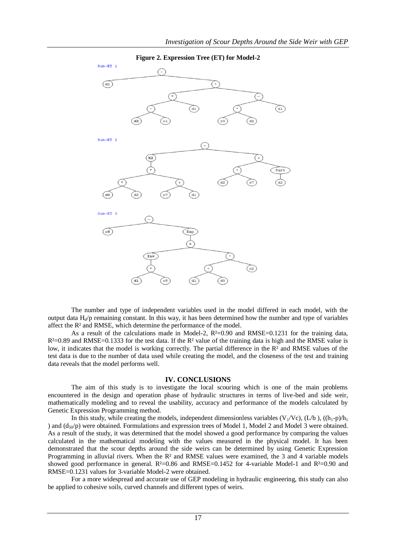

The number and type of independent variables used in the model differed in each model, with the output data  $H_d/p$  remaining constant. In this way, it has been determined how the number and type of variables affect the R² and RMSE, which determine the performance of the model.

As a result of the calculations made in Model-2,  $R^2=0.90$  and RMSE=0.1231 for the training data,  $R<sup>2</sup>=0.89$  and RMSE=0.1333 for the test data. If the  $R<sup>2</sup>$  value of the training data is high and the RMSE value is low, it indicates that the model is working correctly. The partial difference in the R<sup>2</sup> and RMSE values of the test data is due to the number of data used while creating the model, and the closeness of the test and training data reveals that the model performs well.

#### **IV. CONCLUSIONS**

The aim of this study is to investigate the local scouring which is one of the main problems encountered in the design and operation phase of hydraulic structures in terms of live-bed and side weir, mathematically modeling and to reveal the usability, accuracy and performance of the models calculated by Genetic Expression Programming method.

In this study, while creating the models, independent dimensionless variables (V<sub>1</sub>/Vc), (L/b), ((h<sub>1</sub>-p)/h<sub>1</sub> ) and  $(d_{50}/p)$  were obtained. Formulations and expression trees of Model 1, Model 2 and Model 3 were obtained. As a result of the study, it was determined that the model showed a good performance by comparing the values calculated in the mathematical modeling with the values measured in the physical model. It has been demonstrated that the scour depths around the side weirs can be determined by using Genetic Expression Programming in alluvial rivers. When the R<sup>2</sup> and RMSE values were examined, the 3 and 4 variable models showed good performance in general.  $R^2=0.86$  and  $RMSE=0.1452$  for 4-variable Model-1 and  $R^2=0.90$  and RMSE=0.1231 values for 3-variable Model-2 were obtained.

For a more widespread and accurate use of GEP modeling in hydraulic engineering, this study can also be applied to cohesive soils, curved channels and different types of weirs.